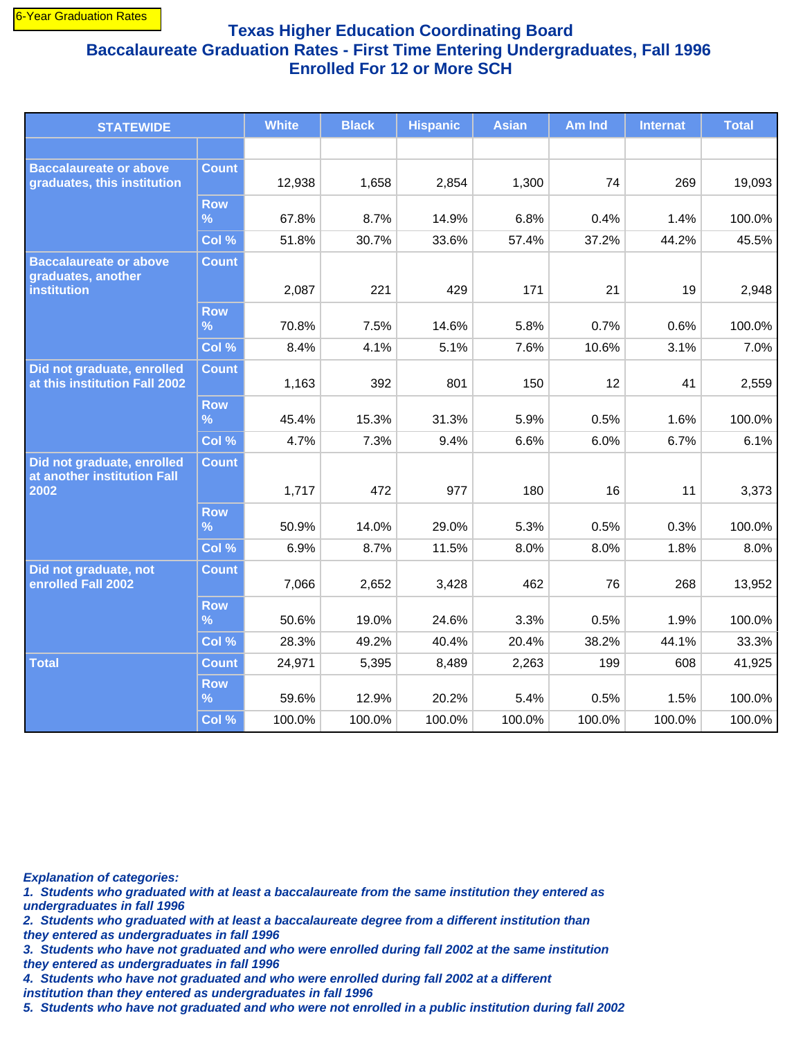## **Texas Higher Education Coordinating Board Baccalaureate Graduation Rates - First Time Entering Undergraduates, Fall 1996 Enrolled For 12 or More SCH**

| <b>STATEWIDE</b>                                                          |                             | <b>White</b> | <b>Black</b> | <b>Hispanic</b> | <b>Asian</b> | Am Ind | <b>Internat</b> | <b>Total</b> |
|---------------------------------------------------------------------------|-----------------------------|--------------|--------------|-----------------|--------------|--------|-----------------|--------------|
|                                                                           |                             |              |              |                 |              |        |                 |              |
| <b>Baccalaureate or above</b><br>graduates, this institution              | <b>Count</b>                | 12,938       | 1,658        | 2,854           | 1,300        | 74     | 269             | 19,093       |
|                                                                           | <b>Row</b><br>%             | 67.8%        | 8.7%         | 14.9%           | 6.8%         | 0.4%   | 1.4%            | 100.0%       |
|                                                                           | Col %                       | 51.8%        | 30.7%        | 33.6%           | 57.4%        | 37.2%  | 44.2%           | 45.5%        |
| <b>Baccalaureate or above</b><br>graduates, another<br><b>institution</b> | <b>Count</b>                | 2,087        | 221          | 429             | 171          | 21     | 19              | 2,948        |
|                                                                           | <b>Row</b>                  |              |              |                 |              |        |                 |              |
|                                                                           | $\%$                        | 70.8%        | 7.5%         | 14.6%           | 5.8%         | 0.7%   | 0.6%            | 100.0%       |
|                                                                           | Col %                       | 8.4%         | 4.1%         | 5.1%            | 7.6%         | 10.6%  | 3.1%            | 7.0%         |
| Did not graduate, enrolled<br>at this institution Fall 2002               | <b>Count</b>                | 1,163        | 392          | 801             | 150          | 12     | 41              | 2,559        |
|                                                                           | <b>Row</b><br>$\frac{9}{6}$ | 45.4%        | 15.3%        | 31.3%           | 5.9%         | 0.5%   | 1.6%            | 100.0%       |
|                                                                           | Col %                       | 4.7%         | 7.3%         | 9.4%            | 6.6%         | 6.0%   | 6.7%            | 6.1%         |
| Did not graduate, enrolled<br>at another institution Fall<br>2002         | <b>Count</b>                | 1,717        | 472          | 977             | 180          | 16     | 11              | 3,373        |
|                                                                           | <b>Row</b><br>$\%$          | 50.9%        | 14.0%        | 29.0%           | 5.3%         | 0.5%   | 0.3%            | 100.0%       |
|                                                                           | Col %                       | 6.9%         | 8.7%         | 11.5%           | 8.0%         | 8.0%   | 1.8%            | 8.0%         |
| Did not graduate, not<br>enrolled Fall 2002                               | <b>Count</b>                | 7,066        | 2,652        | 3,428           | 462          | 76     | 268             | 13,952       |
|                                                                           | <b>Row</b><br>$\frac{9}{6}$ | 50.6%        | 19.0%        | 24.6%           | 3.3%         | 0.5%   | 1.9%            | 100.0%       |
|                                                                           | Col %                       | 28.3%        | 49.2%        | 40.4%           | 20.4%        | 38.2%  | 44.1%           | 33.3%        |
| <b>Total</b>                                                              | <b>Count</b>                | 24,971       | 5,395        | 8,489           | 2,263        | 199    | 608             | 41,925       |
|                                                                           | <b>Row</b><br>$\%$          | 59.6%        | 12.9%        | 20.2%           | 5.4%         | 0.5%   | 1.5%            | 100.0%       |
|                                                                           | Col %                       | 100.0%       | 100.0%       | 100.0%          | 100.0%       | 100.0% | 100.0%          | 100.0%       |

**Explanation of categories:**

**undergraduates in fall 1996 1. Students who graduated with at least a baccalaureate from the same institution they entered as**

**they entered as undergraduates in fall 1996 2. Students who graduated with at least a baccalaureate degree from a different institution than**

**they entered as undergraduates in fall 1996 3. Students who have not graduated and who were enrolled during fall 2002 at the same institution**

**4. Students who have not graduated and who were enrolled during fall 2002 at a different**

**institution than they entered as undergraduates in fall 1996**

**5. Students who have not graduated and who were not enrolled in a public institution during fall 2002**